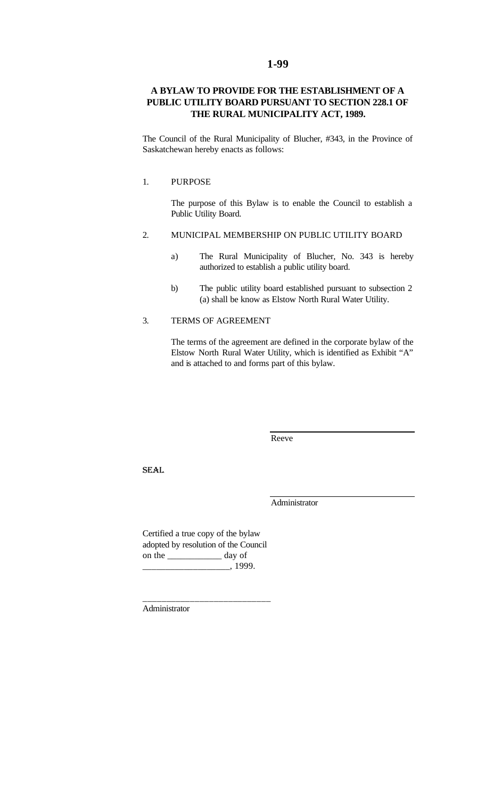# **A BYLAW TO PROVIDE FOR THE ESTABLISHMENT OF A PUBLIC UTILITY BOARD PURSUANT TO SECTION 228.1 OF THE RURAL MUNICIPALITY ACT, 1989.**

The Council of the Rural Municipality of Blucher, #343, in the Province of Saskatchewan hereby enacts as follows:

#### 1. PURPOSE

The purpose of this Bylaw is to enable the Council to establish a Public Utility Board.

## 2. MUNICIPAL MEMBERSHIP ON PUBLIC UTILITY BOARD

- a) The Rural Municipality of Blucher, No. 343 is hereby authorized to establish a public utility board.
- b) The public utility board established pursuant to subsection 2 (a) shall be know as Elstow North Rural Water Utility.

## 3. TERMS OF AGREEMENT

The terms of the agreement are defined in the corporate bylaw of the Elstow North Rural Water Utility, which is identified as Exhibit "A" and is attached to and forms part of this bylaw.

Reeve

SEAL

Administrator

Certified a true copy of the bylaw adopted by resolution of the Council on the \_\_\_\_\_\_\_\_\_\_\_\_ day of  $\frac{1}{1999}.$ 

\_\_\_\_\_\_\_\_\_\_\_\_\_\_\_\_\_\_\_\_\_\_\_\_\_\_\_

Administrator

### **1-99**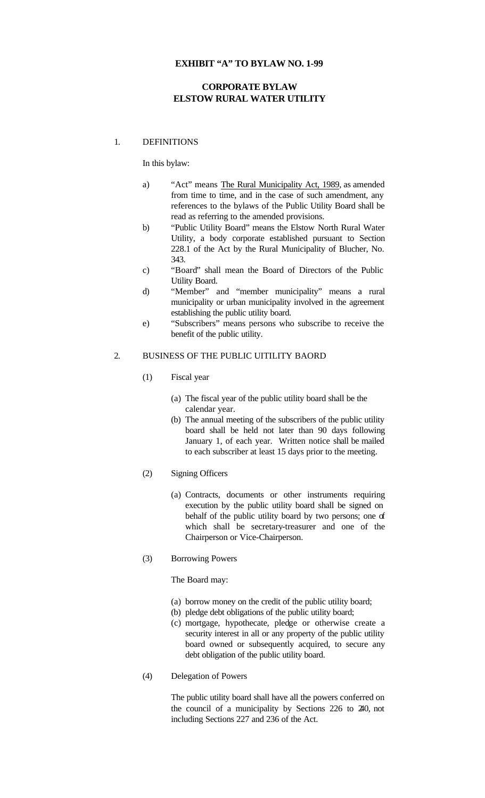## **EXHIBIT "A" TO BYLAW NO. 1-99**

# **CORPORATE BYLAW ELSTOW RURAL WATER UTILITY**

## 1. DEFINITIONS

In this bylaw:

- a) "Act" means The Rural Municipality Act, 1989, as amended from time to time, and in the case of such amendment, any references to the bylaws of the Public Utility Board shall be read as referring to the amended provisions.
- b) "Public Utility Board" means the Elstow North Rural Water Utility, a body corporate established pursuant to Section 228.1 of the Act by the Rural Municipality of Blucher, No. 343.
- c) "Board" shall mean the Board of Directors of the Public Utility Board.
- d) "Member" and "member municipality" means a rural municipality or urban municipality involved in the agreement establishing the public utility board.
- e) "Subscribers" means persons who subscribe to receive the benefit of the public utility.

## 2. BUSINESS OF THE PUBLIC UITILITY BAORD

- (1) Fiscal year
	- (a) The fiscal year of the public utility board shall be the calendar year.
	- (b) The annual meeting of the subscribers of the public utility board shall be held not later than 90 days following January 1, of each year. Written notice shall be mailed to each subscriber at least 15 days prior to the meeting.
- (2) Signing Officers
	- (a) Contracts, documents or other instruments requiring execution by the public utility board shall be signed on behalf of the public utility board by two persons; one of which shall be secretary-treasurer and one of the Chairperson or Vice-Chairperson.
- (3) Borrowing Powers

## The Board may:

- (a) borrow money on the credit of the public utility board;
- (b) pledge debt obligations of the public utility board;
- (c) mortgage, hypothecate, pledge or otherwise create a security interest in all or any property of the public utility board owned or subsequently acquired, to secure any debt obligation of the public utility board.
- (4) Delegation of Powers

The public utility board shall have all the powers conferred on the council of a municipality by Sections 226 to 240, not including Sections 227 and 236 of the Act.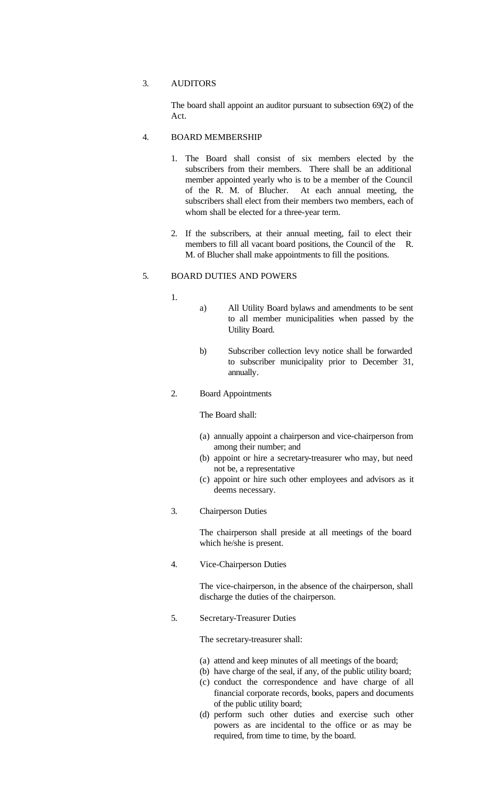## 3. AUDITORS

The board shall appoint an auditor pursuant to subsection 69(2) of the Act.

## 4. BOARD MEMBERSHIP

- 1. The Board shall consist of six members elected by the subscribers from their members. There shall be an additional member appointed yearly who is to be a member of the Council of the R. M. of Blucher. At each annual meeting, the subscribers shall elect from their members two members, each of whom shall be elected for a three-year term.
- 2. If the subscribers, at their annual meeting, fail to elect their members to fill all vacant board positions, the Council of the R. M. of Blucher shall make appointments to fill the positions.

### 5. BOARD DUTIES AND POWERS

- 1.
	- a) All Utility Board bylaws and amendments to be sent to all member municipalities when passed by the Utility Board.
		- b) Subscriber collection levy notice shall be forwarded to subscriber municipality prior to December 31, annually.

## 2. Board Appointments

The Board shall:

- (a) annually appoint a chairperson and vice-chairperson from among their number; and
- (b) appoint or hire a secretary-treasurer who may, but need not be, a representative
- (c) appoint or hire such other employees and advisors as it deems necessary.
- 3. Chairperson Duties

The chairperson shall preside at all meetings of the board which he/she is present.

4. Vice-Chairperson Duties

The vice-chairperson, in the absence of the chairperson, shall discharge the duties of the chairperson.

5. Secretary-Treasurer Duties

The secretary-treasurer shall:

- (a) attend and keep minutes of all meetings of the board;
- (b) have charge of the seal, if any, of the public utility board;
- (c) conduct the correspondence and have charge of all financial corporate records, books, papers and documents of the public utility board;
- (d) perform such other duties and exercise such other powers as are incidental to the office or as may be required, from time to time, by the board.